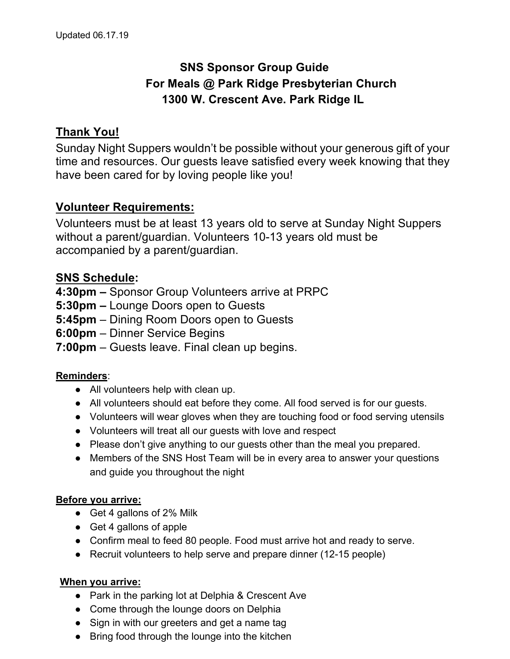# **SNS Sponsor Group Guide For Meals @ Park Ridge Presbyterian Church 1300 W. Crescent Ave. Park Ridge IL**

# **Thank You!**

Sunday Night Suppers wouldn't be possible without your generous gift of your time and resources. Our guests leave satisfied every week knowing that they have been cared for by loving people like you!

# **Volunteer Requirements:**

Volunteers must be at least 13 years old to serve at Sunday Night Suppers without a parent/guardian. Volunteers 10-13 years old must be accompanied by a parent/guardian.

# **SNS Schedule:**

**4:30pm –** Sponsor Group Volunteers arrive at PRPC

- **5:30pm –** Lounge Doors open to Guests
- **5:45pm**  Dining Room Doors open to Guests
- **6:00pm** Dinner Service Begins
- **7:00pm** Guests leave. Final clean up begins.

# **Reminders**:

- All volunteers help with clean up.
- All volunteers should eat before they come. All food served is for our guests.
- Volunteers will wear gloves when they are touching food or food serving utensils
- Volunteers will treat all our guests with love and respect
- Please don't give anything to our guests other than the meal you prepared.
- Members of the SNS Host Team will be in every area to answer your questions and guide you throughout the night

# **Before you arrive:**

- Get 4 gallons of 2% Milk
- Get 4 gallons of apple
- Confirm meal to feed 80 people. Food must arrive hot and ready to serve.
- Recruit volunteers to help serve and prepare dinner (12-15 people)

# **When you arrive:**

- Park in the parking lot at Delphia & Crescent Ave
- Come through the lounge doors on Delphia
- Sign in with our greeters and get a name tag
- Bring food through the lounge into the kitchen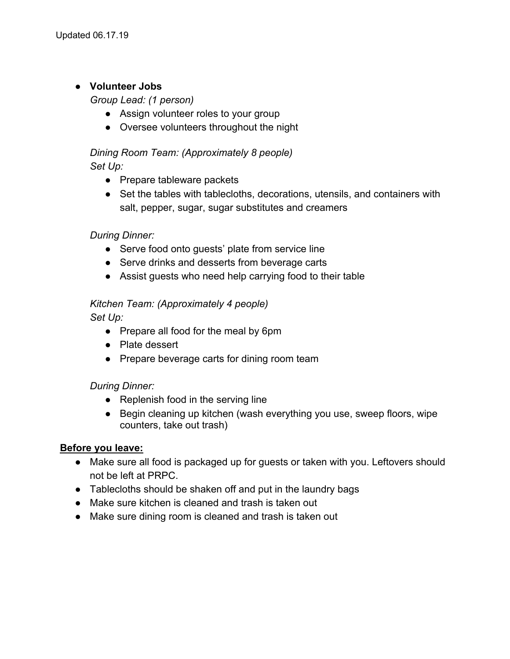# ● **Volunteer Jobs**

*Group Lead: (1 person)*

- Assign volunteer roles to your group
- Oversee volunteers throughout the night

# *Dining Room Team: (Approximately 8 people) Set Up:*

- Prepare tableware packets
- Set the tables with tablecloths, decorations, utensils, and containers with salt, pepper, sugar, sugar substitutes and creamers

# *During Dinner:*

- Serve food onto guests' plate from service line
- Serve drinks and desserts from beverage carts
- Assist guests who need help carrying food to their table

# *Kitchen Team: (Approximately 4 people)*

*Set Up:*

- Prepare all food for the meal by 6pm
- Plate dessert
- Prepare beverage carts for dining room team

# *During Dinner:*

- Replenish food in the serving line
- Begin cleaning up kitchen (wash everything you use, sweep floors, wipe counters, take out trash)

# **Before you leave:**

- Make sure all food is packaged up for guests or taken with you. Leftovers should not be left at PRPC.
- Tablecloths should be shaken off and put in the laundry bags
- Make sure kitchen is cleaned and trash is taken out
- Make sure dining room is cleaned and trash is taken out